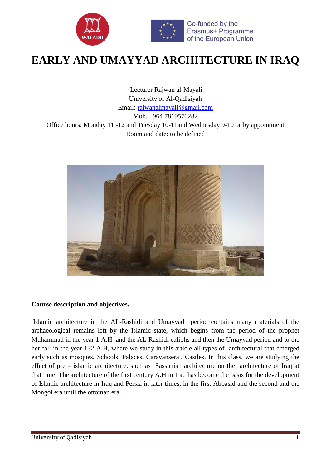

# **EARLY AND UMAYYAD ARCHITECTURE IN IRAQ**

Lecturer Rajwan al-Mayali University of Al-Qadisiyah Email: [rajwanalmayali@gmail.com](mailto:rajwanalmayali@gmail.com) Mob. +964 7819570282

Office hours: Monday 11 -12 and Tuesday 10-11and Wednesday 9-10 or by appointment Room and date: to be defined



## **Course description and objectives.**

Islamic architecture in the AL-Rashidi and Umayyad period contains many materials of the archaeological remains left by the Islamic state, which begins from the period of the prophet Muhammad in the year 1 A.H and the AL-Rashidi caliphs and then the Umayyad period and to the her fall in the year 132 A.H, where we study in this article all types of architectural that emerged early such as mosques, Schools, Palaces, Caravanserai, Castles. In this class, we are studying the effect of pre – islamic architecture, such as Sassanian architecture on the architecture of Iraq at that time. The architecture of the first century A.H in Iraq has become the basis for the development of Islamic architecture in Iraq and Persia in later times, in the first Abbasid and the second and the Mongol era until the ottoman era .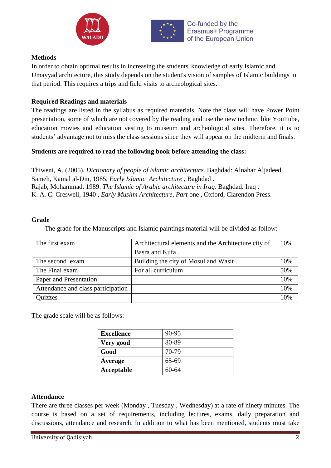



## **Methods**

In order to obtain optimal results in increasing the students' knowledge of early Islamic and Umayyad architecture, this study depends on the student's vision of samples of Islamic buildings in that period. This requires a trips and field visits to archeological sites.

## **Required Readings and materials**

The readings are listed in the syllabus as required materials. Note the class will have Power Point presentation, some of which are not covered by the reading and use the new technic, like YouTube, education movies and education vesting to museum and archeological sites. Therefore, it is to students' advantage not to miss the class sessions since they will appear on the midterm and finals.

## **Students are required to read the following book before attending the class:**

Thiweni, A. (2005). *Dictionary of people of islamic architecture*. Baghdad: Alnahar Aljadeed. Sameh, Kamal al-Din, 1985, *Early Islamic Architecture* , Baghdad . Rajab, Mohammad. 1989. *The Islamic of Arabic architecture in Iraq*. Baghdad. Iraq . K. A. C. Creswell, 1940 , *Early Muslim Architecture, Part* one , Oxford, Clarendon Press.

## **Grade**

The grade for the Manuscripts and Islamic paintings material will be divided as follow:

| The first exam                     | Architectural elements and the Architecture city of | 10% |
|------------------------------------|-----------------------------------------------------|-----|
|                                    | Basra and Kufa.                                     |     |
| The second exam                    | Building the city of Mosul and Wasit.               | 10% |
| The Final exam                     | For all curriculum                                  | 50% |
| Paper and Presentation             |                                                     | 10% |
| Attendance and class participation |                                                     | 10% |
| Quizzes                            |                                                     | 10% |

The grade scale will be as follows:

| <b>Excellence</b> | 90-95 |
|-------------------|-------|
| Very good         | 80-89 |
| Good              | 70-79 |
| Average           | 65-69 |
| Acceptable        | 60-64 |

## **Attendance**

There are three classes per week (Monday , Tuesday , Wednesday) at a rate of ninety minutes. The course is based on a set of requirements, including lectures, exams, daily preparation and discussions, attendance and research. In addition to what has been mentioned, students must take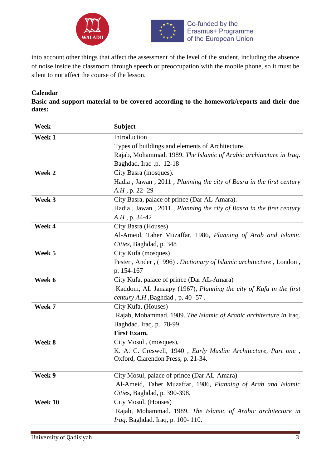



into account other things that affect the assessment of the level of the student, including the absence of noise inside the classroom through speech or preoccupation with the mobile phone, so it must be silent to not affect the course of the lesson.

## **Calendar**

**Basic and support material to be covered according to the homework/reports and their due dates:** 

| Week    | <b>Subject</b>                                                                                       |
|---------|------------------------------------------------------------------------------------------------------|
| Week 1  | Introduction                                                                                         |
|         | Types of buildings and elements of Architecture.                                                     |
|         | Rajab, Mohammad. 1989. The Islamic of Arabic architecture in Iraq.                                   |
|         | Baghdad. Iraq.p. 12-18                                                                               |
| Week 2  | City Basra (mosques).                                                                                |
|         | Hadia, Jawan, 2011, Planning the city of Basra in the first century                                  |
|         | $A.H$ , p. 22-29                                                                                     |
| Week 3  | City Basra, palace of prince (Dar AL-Amara).                                                         |
|         | Hadia, Jawan, 2011, Planning the city of Basra in the first century                                  |
|         | $A.H$ , p. 34-42                                                                                     |
| Week 4  | City Basra (Houses)                                                                                  |
|         | Al-Ameid, Taher Muzaffar, 1986, Planning of Arab and Islamic                                         |
|         | Cities, Baghdad, p. 348                                                                              |
| Week 5  | City Kufa (mosques)                                                                                  |
|         | Pester, Ander, (1996). Dictionary of Islamic architecture, London,                                   |
|         | p. 154-167                                                                                           |
| Week 6  | City Kufa, palace of prince (Dar AL-Amara)                                                           |
|         | Kaddom, AL Janaapy (1967), Planning the city of Kufa in the first                                    |
|         | century A.H , Baghdad, p. 40-57.                                                                     |
| Week 7  | City Kufa, (Houses)                                                                                  |
|         | Rajab, Mohammad. 1989. The Islamic of Arabic architecture in Iraq.                                   |
|         | Baghdad. Iraq, p. 78-99.                                                                             |
|         | <b>First Exam.</b>                                                                                   |
| Week 8  | City Mosul, (mosques),                                                                               |
|         | K. A. C. Creswell, 1940 , Early Muslim Architecture, Part one,<br>Oxford, Clarendon Press, p. 21-34. |
|         |                                                                                                      |
| Week 9  | City Mosul, palace of prince (Dar AL-Amara)                                                          |
|         | Al-Ameid, Taher Muzaffar, 1986, Planning of Arab and Islamic                                         |
|         | Cities, Baghdad, p. 390-398.                                                                         |
| Week 10 | City Mosul, (Houses)                                                                                 |
|         | Rajab, Mohammad. 1989. The Islamic of Arabic architecture in                                         |
|         | <i>Iraq.</i> Baghdad. Iraq, p. 100-110.                                                              |
|         |                                                                                                      |